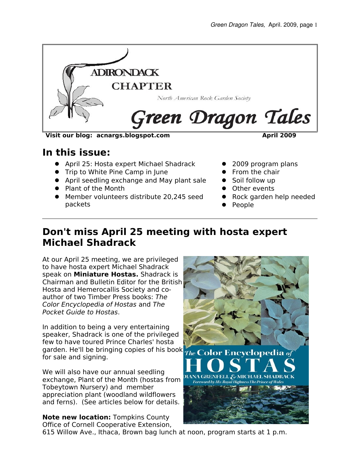

#### **Visit our blog: acnargs.blogspot.com April 2009**

### **In this issue:**

- April 25: Hosta expert Michael Shadrack
- **•** Trip to White Pine Camp in June
- April seedling exchange and May plant sale
- Plant of the Month
- Member volunteers distribute 20,245 seed packets
- 2009 program plans
- $\bullet$  From the chair
- Soil follow up
- **•** Other events
- Rock garden help needed
- People

## **Don't miss April 25 meeting with hosta expert Michael Shadrack**

At our April 25 meeting, we are privileged to have hosta expert Michael Shadrack speak on **Miniature Hostas.** Shadrack is Chairman and Bulletin Editor for the British Hosta and Hemerocallis Society and coauthor of two Timber Press books: The Color Encyclopedia of Hostas and The Pocket Guide to Hostas.

In addition to being a very entertaining speaker, Shadrack is one of the privileged few to have toured Prince Charles' hosta garden. He'll be bringing copies of his book The Color Encyclopedia of for sale and signing.

We will also have our annual seedling exchange, Plant of the Month (hostas from Tobeytown Nursery) and member appreciation plant (woodland wildflowers and ferns). (See articles below for details.

**Note new location:** Tompkins County Office of Cornell Cooperative Extension,



615 Willow Ave., Ithaca, Brown bag lunch at noon, program starts at 1 p.m.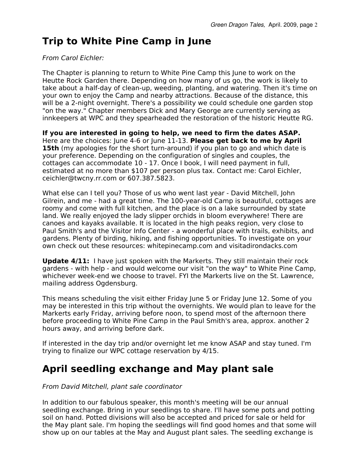# **Trip to White Pine Camp in June**

### From Carol Eichler:

The Chapter is planning to return to White Pine Camp this June to work on the Heutte Rock Garden there. Depending on how many of us go, the work is likely to take about a half-day of clean-up, weeding, planting, and watering. Then it's time on your own to enjoy the Camp and nearby attractions. Because of the distance, this will be a 2-night overnight. There's a possibility we could schedule one garden stop "on the way." Chapter members Dick and Mary George are currently serving as innkeepers at WPC and they spearheaded the restoration of the historic Heutte RG.

**If you are interested in going to help, we need to firm the dates ASAP.** Here are the choices: June 4-6 or June 11-13. **Please get back to me by April 15th** (my apologies for the short turn-around) if you plan to go and which date is your preference. Depending on the configuration of singles and couples, the cottages can accommodate 10 - 17. Once I book, I will need payment in full, estimated at no more than \$107 per person plus tax. Contact me: Carol Eichler, ceichler@twcny.rr.com or 607.387.5823.

What else can I tell you? Those of us who went last year - David Mitchell, John Gilrein, and me - had a great time. The 100-year-old Camp is beautiful, cottages are roomy and come with full kitchen, and the place is on a lake surrounded by state land. We really enjoyed the lady slipper orchids in bloom everywhere! There are canoes and kayaks available. It is located in the high peaks region, very close to Paul Smith's and the Visitor Info Center - a wonderful place with trails, exhibits, and gardens. Plenty of birding, hiking, and fishing opportunities. To investigate on your own check out these resources: whitepinecamp.com and visitadirondacks.com

**Update 4/11:** I have just spoken with the Markerts. They still maintain their rock gardens - with help - and would welcome our visit "on the way" to White Pine Camp, whichever week-end we choose to travel. FYI the Markerts live on the St. Lawrence, mailing address Ogdensburg.

This means scheduling the visit either Friday June 5 or Friday June 12. Some of you may be interested in this trip without the overnights. We would plan to leave for the Markerts early Friday, arriving before noon, to spend most of the afternoon there before proceeding to White Pine Camp in the Paul Smith's area, approx. another 2 hours away, and arriving before dark.

If interested in the day trip and/or overnight let me know ASAP and stay tuned. I'm trying to finalize our WPC cottage reservation by 4/15.

## **April seedling exchange and May plant sale**

### From David Mitchell, plant sale coordinator

In addition to our fabulous speaker, this month's meeting will be our annual seedling exchange. Bring in your seedlings to share. I'll have some pots and potting soil on hand. Potted divisions will also be accepted and priced for sale or held for the May plant sale. I'm hoping the seedlings will find good homes and that some will show up on our tables at the May and August plant sales. The seedling exchange is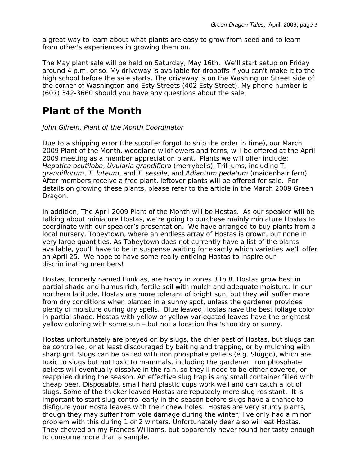a great way to learn about what plants are easy to grow from seed and to learn from other's experiences in growing them on.

The May plant sale will be held on Saturday, May 16th. We'll start setup on Friday around 4 p.m. or so. My driveway is available for dropoffs if you can't make it to the high school before the sale starts. The driveway is on the Washington Street side of the corner of Washington and Esty Streets (402 Esty Street). My phone number is (607) 342-3660 should you have any questions about the sale.

## **Plant of the Month**

John Gilrein, Plant of the Month Coordinator

Due to a shipping error (the supplier forgot to ship the order in time), our March 2009 Plant of the Month, woodland wildflowers and ferns, will be offered at the April 2009 meeting as a member appreciation plant. Plants we will offer include: Hepatica acutiloba, Uvularia grandiflora (merrybells), Trilliums, including T. grandiflorum, T. luteum, and T. sessile, and Adiantum pedatum (maidenhair fern). After members receive a free plant, leftover plants will be offered for sale. For details on growing these plants, please refer to the article in the March 2009 Green Dragon.

In addition, The April 2009 Plant of the Month will be Hostas. As our speaker will be talking about miniature Hostas, we're going to purchase mainly miniature Hostas to coordinate with our speaker's presentation. We have arranged to buy plants from a local nursery, Tobeytown, where an endless array of Hostas is grown, but none in very large quantities. As Tobeytown does not currently have a list of the plants available, you'll have to be in suspense waiting for exactly which varieties we'll offer on April 25. We hope to have some really enticing Hostas to inspire our discriminating members!

Hostas, formerly named Funkias, are hardy in zones 3 to 8. Hostas grow best in partial shade and humus rich, fertile soil with mulch and adequate moisture. In our northern latitude, Hostas are more tolerant of bright sun, but they will suffer more from dry conditions when planted in a sunny spot, unless the gardener provides plenty of moisture during dry spells. Blue leaved Hostas have the best foliage color in partial shade. Hostas with yellow or yellow variegated leaves have the brightest yellow coloring with some sun – but not a location that's too dry or sunny.

Hostas unfortunately are preyed on by slugs, the chief pest of Hostas, but slugs can be controlled, or at least discouraged by baiting and trapping, or by mulching with sharp grit. Slugs can be baited with iron phosphate pellets (e.g. Sluggo), which are toxic to slugs but not toxic to mammals, including the gardener. Iron phosphate pellets will eventually dissolve in the rain, so they'll need to be either covered, or reapplied during the season. An effective slug trap is any small container filled with cheap beer. Disposable, small hard plastic cups work well and can catch a lot of slugs. Some of the thicker leaved Hostas are reputedly more slug resistant. It is important to start slug control early in the season before slugs have a chance to disfigure your Hosta leaves with their chew holes. Hostas are very sturdy plants, though they may suffer from vole damage during the winter; I've only had a minor problem with this during 1 or 2 winters. Unfortunately deer also will eat Hostas. They chewed on my Frances Williams, but apparently never found her tasty enough to consume more than a sample.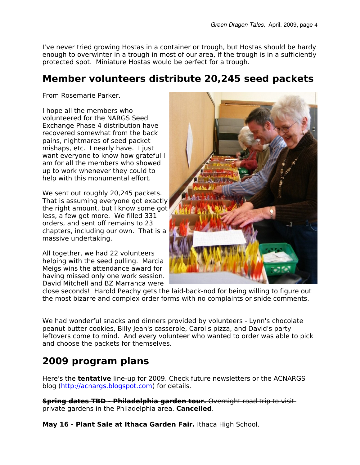I've never tried growing Hostas in a container or trough, but Hostas should be hardy enough to overwinter in a trough in most of our area, if the trough is in a sufficiently protected spot. Miniature Hostas would be perfect for a trough.

## **Member volunteers distribute 20,245 seed packets**

From Rosemarie Parker.

I hope all the members who volunteered for the NARGS Seed Exchange Phase 4 distribution have recovered somewhat from the back pains, nightmares of seed packet mishaps, etc. I nearly have. I just want everyone to know how grateful I am for all the members who showed up to work whenever they could to help with this monumental effort.

We sent out roughly 20,245 packets. That is assuming everyone got exactly the right amount, but I know some got less, a few got more. We filled 331 orders, and sent off remains to 23 chapters, including our own. That is a massive undertaking.

All together, we had 22 volunteers helping with the seed pulling. Marcia Meigs wins the attendance award for having missed only one work session. David Mitchell and BZ Marranca were



close seconds! Harold Peachy gets the laid-back-nod for being willing to figure out the most bizarre and complex order forms with no complaints or snide comments.

We had wonderful snacks and dinners provided by volunteers - Lynn's chocolate peanut butter cookies, Billy Jean's casserole, Carol's pizza, and David's party leftovers come to mind. And every volunteer who wanted to order was able to pick and choose the packets for themselves.

# **2009 program plans**

Here's the **tentative** line-up for 2009. Check future newsletters or the ACNARGS blog [\(http://acnargs.blogspot.com\)](http://acnargs.blogspot.com/) for details.

**Spring dates TBD - Philadelphia garden tour.** Overnight road trip to visit private gardens in the Philadelphia area. **Cancelled**.

**May 16 - Plant Sale at Ithaca Garden Fair.** Ithaca High School.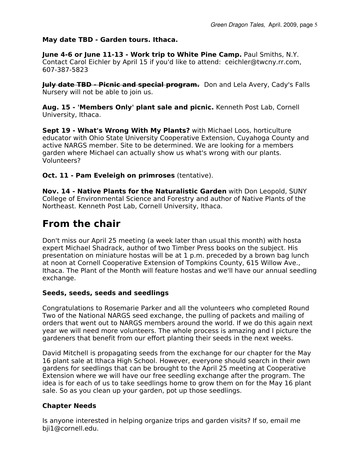#### **May date TBD - Garden tours. Ithaca.**

**June 4-6 or June 11-13 - Work trip to White Pine Camp.** Paul Smiths, N.Y. Contact Carol Eichler by April 15 if you'd like to attend: ceichler@twcny.rr.com, 607-387-5823

**July date TBD - Picnic and special program.** Don and Lela Avery, Cady's Falls Nursery will not be able to join us.

**Aug. 15 - 'Members Only' plant sale and picnic.** Kenneth Post Lab, Cornell University, Ithaca.

**Sept 19 - What's Wrong With My Plants?** with Michael Loos, horticulture educator with Ohio State University Cooperative Extension, Cuyahoga County and active NARGS member. Site to be determined. We are looking for a members garden where Michael can actually show us what's wrong with our plants. Volunteers?

**Oct. 11 - Pam Eveleigh on primroses** (tentative).

**Nov. 14 - Native Plants for the Naturalistic Garden** with Don Leopold, SUNY College of Environmental Science and Forestry and author of Native Plants of the Northeast. Kenneth Post Lab, Cornell University, Ithaca.

## **From the chair**

Don't miss our April 25 meeting (a week later than usual this month) with hosta expert Michael Shadrack, author of two Timber Press books on the subject. His presentation on miniature hostas will be at 1 p.m. preceded by a brown bag lunch at noon at Cornell Cooperative Extension of Tompkins County, 615 Willow Ave., Ithaca. The Plant of the Month will feature hostas and we'll have our annual seedling exchange.

#### **Seeds, seeds, seeds and seedlings**

Congratulations to Rosemarie Parker and all the volunteers who completed Round Two of the National NARGS seed exchange, the pulling of packets and mailing of orders that went out to NARGS members around the world. If we do this again next year we will need more volunteers. The whole process is amazing and I picture the gardeners that benefit from our effort planting their seeds in the next weeks.

David Mitchell is propagating seeds from the exchange for our chapter for the May 16 plant sale at Ithaca High School. However, everyone should search in their own gardens for seedlings that can be brought to the April 25 meeting at Cooperative Extension where we will have our free seedling exchange after the program. The idea is for each of us to take seedlings home to grow them on for the May 16 plant sale. So as you clean up your garden, pot up those seedlings.

### **Chapter Needs**

Is anyone interested in helping organize trips and garden visits? If so, email me bji1@cornell.edu.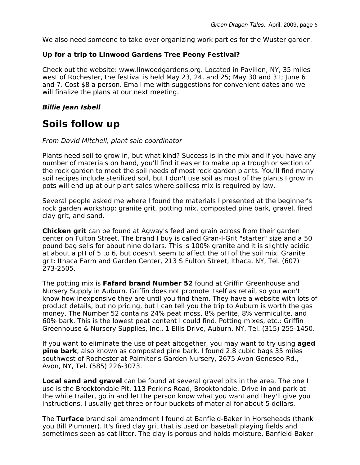We also need someone to take over organizing work parties for the Wuster garden.

### **Up for a trip to Linwood Gardens Tree Peony Festival?**

Check out the website: www.linwoodgardens.org. Located in Pavilion, NY, 35 miles west of Rochester, the festival is held May 23, 24, and 25; May 30 and 31; June 6 and 7. Cost \$8 a person. Email me with suggestions for convenient dates and we will finalize the plans at our next meeting.

### **Billie Jean Isbell**

## **Soils follow up**

#### From David Mitchell, plant sale coordinator

Plants need soil to grow in, but what kind? Success is in the mix and if you have any number of materials on hand, you'll find it easier to make up a trough or section of the rock garden to meet the soil needs of most rock garden plants. You'll find many soil recipes include sterilized soil, but I don't use soil as most of the plants I grow in pots will end up at our plant sales where soilless mix is required by law.

Several people asked me where I found the materials I presented at the beginner's rock garden workshop: granite grit, potting mix, composted pine bark, gravel, fired clay grit, and sand.

**Chicken grit** can be found at Agway's feed and grain across from their garden center on Fulton Street. The brand I buy is called Gran-I-Grit "starter" size and a 50 pound bag sells for about nine dollars. This is 100% granite and it is slightly acidic at about a pH of 5 to 6, but doesn't seem to affect the pH of the soil mix. Granite grit: Ithaca Farm and Garden Center, 213 S Fulton Street, Ithaca, NY, Tel. (607) 273-2505. Green Dragon Tales. April. 2009<br> **2The properation of the Universed Critical Critical Critical Critical Critical Criential Criential Criential Criential Properties (at the west of Rochester, the festival is held May 23, 24** 

Nursery Supply in Auburn. Griffin does not promote itself as retail, so you won't know how inexpensive they are until you find them. They have a website with lots of product details, but no pricing, but I can tell you the trip to Auburn is worth the gas money. The Number 52 contains 24% peat moss, 8% perlite, 8% vermiculite, and 60% bark. This is the lowest peat content I could find. Potting mixes, etc.: Griffin Greenhouse & Nursery Supplies, Inc., 1 Ellis Drive, Auburn, NY, Tel. (315) 255-1450.

If you want to eliminate the use of peat altogether, you may want to try using **aged pine bark**, also known as composted pine bark. I found 2.8 cubic bags 35 miles southwest of Rochester at Palmiter's Garden Nursery, 2675 Avon Geneseo Rd., Avon, NY, Tel. (585) 226-3073.

**Local sand and gravel** can be found at several gravel pits in the area. The one I use is the Brooktondale Pit, 113 Perkins Road, Brooktondale. Drive in and park at the white trailer, go in and let the person know what you want and they'll give you instructions. I usually get three or four buckets of material for about 5 dollars.

The **Turface** brand soil amendment I found at Banfield-Baker in Horseheads (thank you Bill Plummer). It's fired clay grit that is used on baseball playing fields and sometimes seen as cat litter. The clay is porous and holds moisture. Banfield-Baker